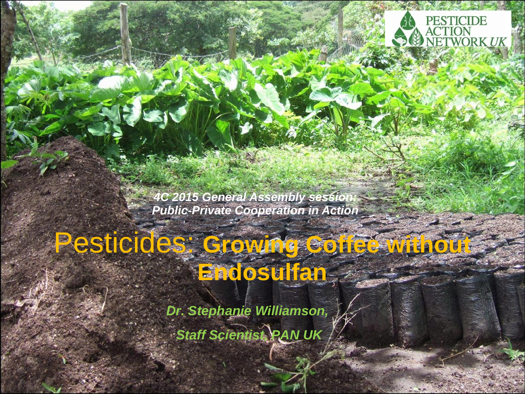

*4C 2015 General Assembly session: Public-Private Cooperation in Action* 

## Pesticides: **Growing Coffee without Endosulfan**

*Dr. Stephanie Williamson, Staff Scientist, PAN UK*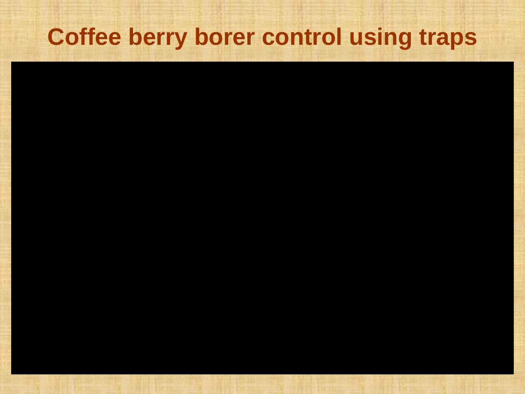## **Coffee berry borer control using traps**

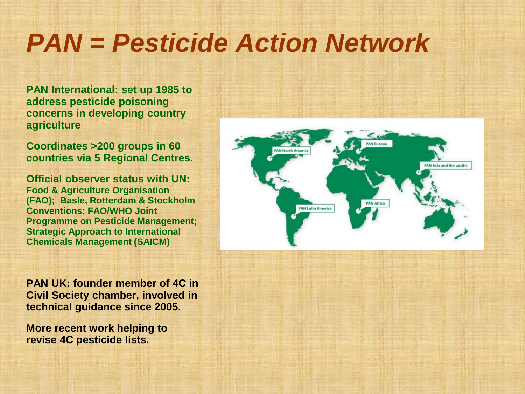# *PAN = Pesticide Action Network*

**PAN International: set up 1985 to address pesticide poisoning concerns in developing country agriculture**

**Coordinates >200 groups in 60 countries via 5 Regional Centres.** 

**Official observer status with UN: Food & Agriculture Organisation (FAO); Basle, Rotterdam & Stockholm Conventions; FAO/WHO Joint Programme on Pesticide Management; Strategic Approach to International Chemicals Management (SAICM)**

**PAN UK: founder member of 4C in Civil Society chamber, involved in technical guidance since 2005.** 

**More recent work helping to revise 4C pesticide lists.**

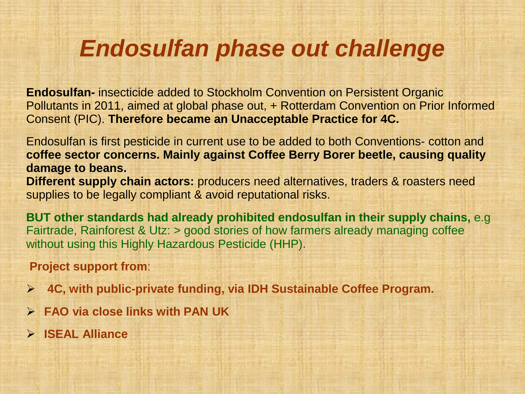## *Endosulfan phase out challenge*

**Endosulfan-** insecticide added to Stockholm Convention on Persistent Organic Pollutants in 2011, aimed at global phase out, + Rotterdam Convention on Prior Informed Consent (PIC). **Therefore became an Unacceptable Practice for 4C.** 

Endosulfan is first pesticide in current use to be added to both Conventions- cotton and **coffee sector concerns. Mainly against Coffee Berry Borer beetle, causing quality damage to beans. Different supply chain actors:** producers need alternatives, traders & roasters need supplies to be legally compliant & avoid reputational risks.

**BUT other standards had already prohibited endosulfan in their supply chains,** e.g Fairtrade, Rainforest & Utz: > good stories of how farmers already managing coffee without using this Highly Hazardous Pesticide (HHP).

#### **Project support from**:

- **4C, with public-private funding, via IDH Sustainable Coffee Program.**
- **FAO via close links with PAN UK**
- **ISEAL Alliance**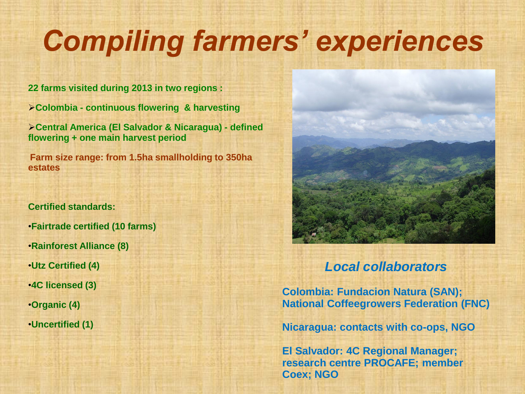# *Compiling farmers' experiences*

**22 farms visited during 2013 in two regions :** 

**Colombia - continuous flowering & harvesting** 

**Central America (El Salvador & Nicaragua) - defined flowering + one main harvest period** 

**Farm size range: from 1.5ha smallholding to 350ha estates**

#### **Certified standards:**

- •**Fairtrade certified (10 farms)**
- •**Rainforest Alliance (8)**
- •**Utz Certified (4)**
- •**4C licensed (3)**
- •**Organic (4)**
- •**Uncertified (1)**



#### *Local collaborators*

**Colombia: Fundacion Natura (SAN); National Coffeegrowers Federation (FNC)**

**Nicaragua: contacts with co-ops, NGO**

**El Salvador: 4C Regional Manager; research centre PROCAFE; member Coex; NGO**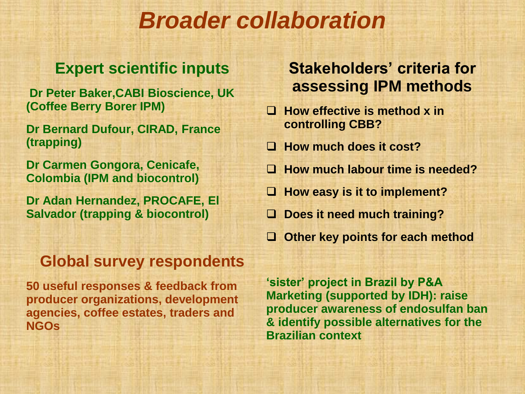## *Broader collaboration*

### **Expert scientific inputs**

**Dr Peter Baker,CABI Bioscience, UK (Coffee Berry Borer IPM)**

**Dr Bernard Dufour, CIRAD, France (trapping)** 

**Dr Carmen Gongora, Cenicafe, Colombia (IPM and biocontrol)** 

**Dr Adan Hernandez, PROCAFE, El Salvador (trapping & biocontrol)**

#### **Global survey respondents**

**50 useful responses & feedback from producer organizations, development agencies, coffee estates, traders and NGOs**

**'sister' project in Brazil by P&A Marketing (supported by IDH): raise producer awareness of endosulfan ban & identify possible alternatives for the Brazilian context**

#### **Stakeholders' criteria for assessing IPM methods**

- **How effective is method x in controlling CBB?**
- **How much does it cost?**
- **How much labour time is needed?**
- $\Box$  **How easy is it to implement?**
- **Does it need much training?**
- **Other key points for each method**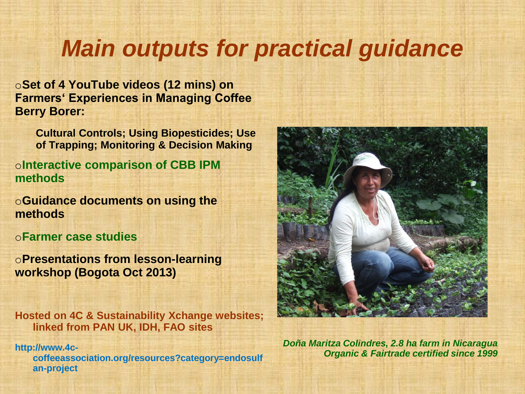## *Main outputs for practical guidance*

o**Set of 4 YouTube videos (12 mins) on Farmers' Experiences in Managing Coffee Berry Borer:** 

**Cultural Controls; Using Biopesticides; Use of Trapping; Monitoring & Decision Making**

o**Interactive comparison of CBB IPM methods**

o**Guidance documents on using the methods**

o**Farmer case studies**

o**Presentations from lesson-learning workshop (Bogota Oct 2013)**

**Hosted on 4C & Sustainability Xchange websites; linked from PAN UK, IDH, FAO sites**

**http://www.4ccoffeeassociation.org/resources?category=endosulf an-project**



*Doña Maritza Colindres, 2.8 ha farm in Nicaragua Organic & Fairtrade certified since 1999*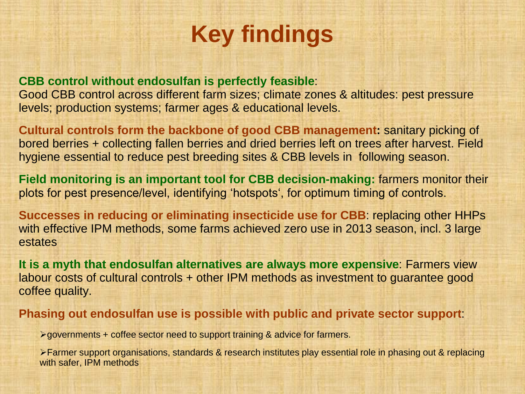## **Key findings**

#### **CBB control without endosulfan is perfectly feasible**:

Good CBB control across different farm sizes; climate zones & altitudes: pest pressure levels; production systems; farmer ages & educational levels.

**Cultural controls form the backbone of good CBB management:** sanitary picking of bored berries + collecting fallen berries and dried berries left on trees after harvest. Field hygiene essential to reduce pest breeding sites & CBB levels in following season.

**Field monitoring is an important tool for CBB decision-making:** farmers monitor their plots for pest presence/level, identifying 'hotspots', for optimum timing of controls.

**Successes in reducing or eliminating insecticide use for CBB**: replacing other HHPs with effective IPM methods, some farms achieved zero use in 2013 season, incl. 3 large estates

**It is a myth that endosulfan alternatives are always more expensive**: Farmers view labour costs of cultural controls + other IPM methods as investment to guarantee good coffee quality.

**Phasing out endosulfan use is possible with public and private sector support**:

 $\geq$  governments + coffee sector need to support training & advice for farmers.

Farmer support organisations, standards & research institutes play essential role in phasing out & replacing with safer, IPM methods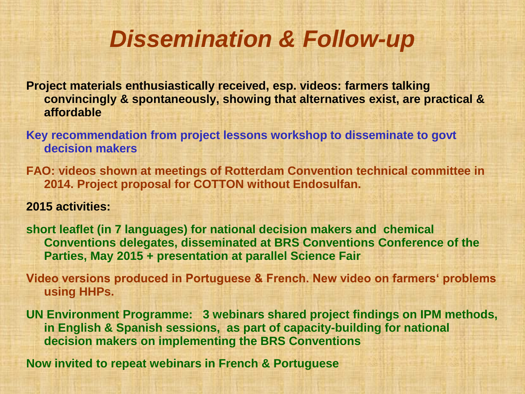## *Dissemination & Follow-up*

**Project materials enthusiastically received, esp. videos: farmers talking convincingly & spontaneously, showing that alternatives exist, are practical & affordable**

**Key recommendation from project lessons workshop to disseminate to govt decision makers**

**FAO: videos shown at meetings of Rotterdam Convention technical committee in 2014. Project proposal for COTTON without Endosulfan.**

#### **2015 activities:**

**short leaflet (in 7 languages) for national decision makers and chemical Conventions delegates, disseminated at BRS Conventions Conference of the Parties, May 2015 + presentation at parallel Science Fair**

**Video versions produced in Portuguese & French. New video on farmers' problems using HHPs.**

**UN Environment Programme: 3 webinars shared project findings on IPM methods, in English & Spanish sessions, as part of capacity-building for national decision makers on implementing the BRS Conventions**

**Now invited to repeat webinars in French & Portuguese**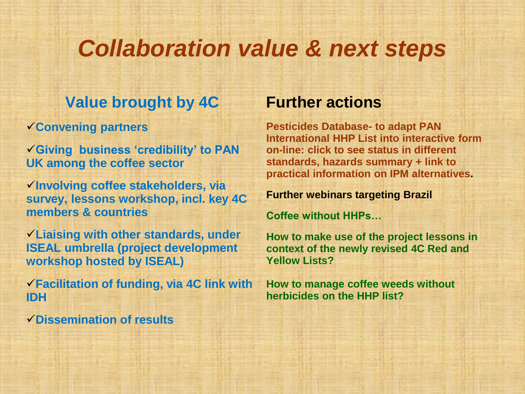### *Collaboration value & next steps*

#### **Value brought by 4C**

**Convening partners**

**Giving business 'credibility' to PAN UK among the coffee sector**

**Involving coffee stakeholders, via survey, lessons workshop, incl. key 4C members & countries**

**Liaising with other standards, under ISEAL umbrella (project development workshop hosted by ISEAL)**

**Facilitation of funding, via 4C link with IDH**

**Dissemination of results**

#### **Further actions**

**Pesticides Database- to adapt PAN International HHP List into interactive form on-line: click to see status in different standards, hazards summary + link to practical information on IPM alternatives.**

#### **Further webinars targeting Brazil**

**Coffee without HHPs…**

**How to make use of the project lessons in context of the newly revised 4C Red and Yellow Lists?** 

**How to manage coffee weeds without herbicides on the HHP list?**